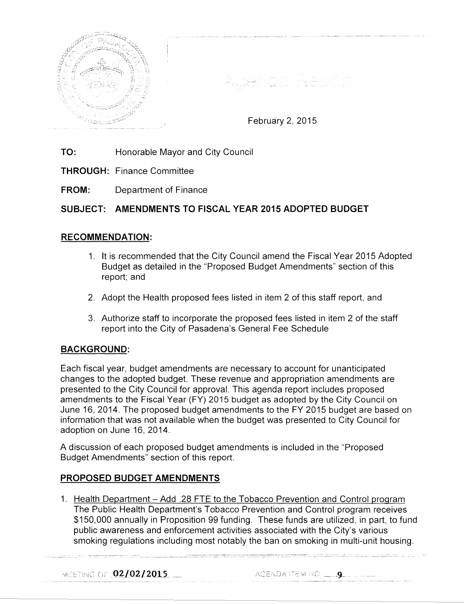



February 2, 2015

- **TO:** Honorable Mayor and City Council
- **THROUGH:** Finance Committee
- **FROM:** Department of Finance

# **SUBJECT: AMENDMENTS TO FISCAL YEAR 2015 ADOPTED BUDGET**

# **RECOMMENDATION:**

- 1. It is recommended that the City Council amend the Fiscal Year 2015 Adopted Budget as detailed in the "Proposed Budget Amendments" section of this report; and
- 2. Adopt the Health proposed fees listed in item 2 of this staff report, and
- 3. Authorize staff to incorporate the proposed fees listed in item 2 of the staff report into the City of Pasadena's General Fee Schedule

# **BACKGROUND:**

Each fiscal year, budget amendments are necessary to account for unanticipated changes to the adopted budget. These revenue and appropriation amendments are presented to the City Council for approval. This agenda report includes proposed amendments to the Fiscal Year (FY) 2015 budget as adopted by the City Council on June 16, 2014. The proposed budget amendments to the FY 2015 budget are based on information that was not available when the budget was presented to City Council for adoption on June 16, 2014.

A discussion of each proposed budget amendments is included in the "Proposed Budget Amendments" section of this report.

#### **PROPOSED BUDGET AMENDMENTS**

1. Health Department - Add .28 FTE to the Tobacco Prevention and Control program The Public Health Department's Tobacco Prevention and Control program receives \$150,000 annually in Proposition 99 funding. These funds are utilized, in part, to fund public awareness and enforcement activities associated with the City's various smoking regulations including most notably the ban on smoking in multi-unit housing.

MEETING OF 02/02/2015

AGENDA ITEM NO.  $\qquad \qquad \bullet$ 

.<br>Andrewski diskusioner i strandardi i 1920-tali i 1920. ga 2000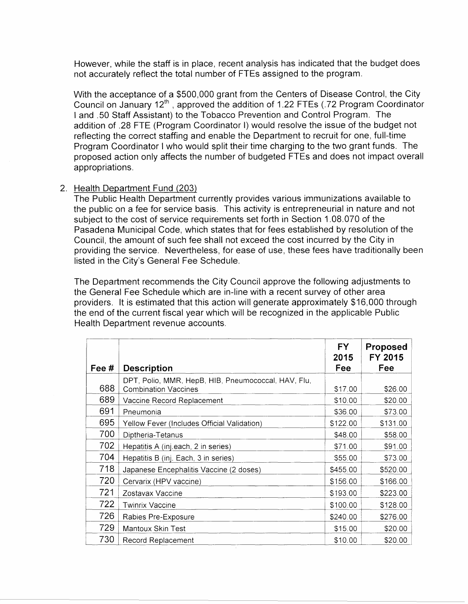However, while the staff is in place, recent analysis has indicated that the budget does not accurately reflect the total number of FTEs assigned to the program.

With the acceptance of a \$500,000 grant from the Centers of Disease Control, the City Council on January 12th, approved the addition of 1.22 FTEs (.72 Program Coordinator I and .50 Staff Assistant) to the Tobacco Prevention and Control Program. The addition of .28 FTE (Program Coordinator I) would resolve the issue of the budget not reflecting the correct staffing and enable the Department to recruit for one, full-time Program Coordinator I who would split their time charging to the two grant funds. The proposed action only affects the number of budgeted FTEs and does not impact overall appropriations.

#### 2. Health Department Fund (203)

The Public Health Department currently provides various immunizations available to the public on a fee for service basis. This activity is entrepreneurial in nature and not subject to the cost of service requirements set forth in Section 1.08.070 of the Pasadena Municipal Code, which states that for fees established by resolution of the Council, the amount of such fee shall not exceed the cost incurred by the City in providing the service. Nevertheless, for ease of use, these fees have traditionally been listed in the City's General Fee Schedule.

The Department recommends the City Council approve the following adjustments to the General Fee Schedule which are in-line with a recent survey of other area providers. It is estimated that this action will generate approximately \$16,000 through the end of the current fiscal year which will be recognized in the applicable Public Health Department revenue accounts.

| Fee # | <b>Description</b>                                                                 | <b>FY</b><br>2015<br>Fee | <b>Proposed</b><br>FY 2015<br><b>Fee</b> |
|-------|------------------------------------------------------------------------------------|--------------------------|------------------------------------------|
| 688   | DPT, Polio, MMR, HepB, HIB, Pneumococcal, HAV, Flu,<br><b>Combination Vaccines</b> | \$17.00                  | \$26.00                                  |
| 689   | Vaccine Record Replacement                                                         | \$10.00                  | \$20.00                                  |
| 691   | Pneumonia                                                                          | \$36.00                  | \$73.00                                  |
| 695   | Yellow Fever (Includes Official Validation)                                        | \$122.00                 | \$131.00                                 |
| 700   | Diptheria-Tetanus                                                                  | \$48.00                  | \$58.00                                  |
| 702   | Hepatitis A (inj.each, 2 in series)                                                | \$71.00                  | \$91.00                                  |
| 704   | Hepatitis B (inj. Each, 3 in series)                                               | \$55.00                  | \$73.00                                  |
| 718   | Japanese Encephalitis Vaccine (2 doses)                                            | \$455.00                 | \$520.00                                 |
| 720   | Cervarix (HPV vaccine)                                                             | \$156.00                 | \$166.00                                 |
| 721   | Zostavax Vaccine                                                                   | \$193.00                 | \$223.00                                 |
| 722   | <b>Twinrix Vaccine</b>                                                             | \$100.00                 | \$128.00                                 |
| 726   | Rabies Pre-Exposure                                                                | \$240.00                 | \$276.00                                 |
| 729   | Mantoux Skin Test                                                                  | \$15.00                  | \$20.00                                  |
| 730   | Record Replacement                                                                 | \$10.00                  | \$20.00                                  |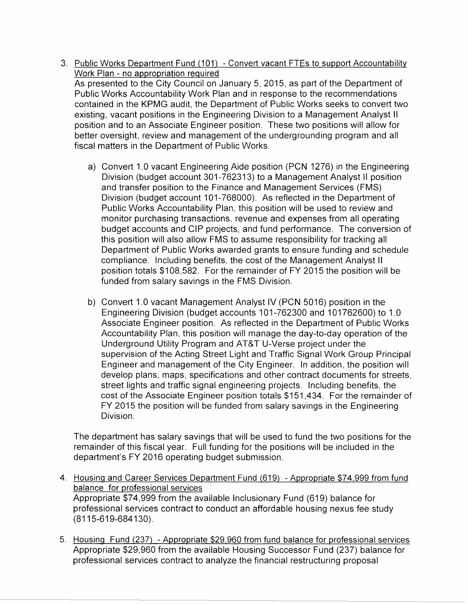- 3. Public Works Department Fund (101) Convert vacant FTEs to support Accountability Work Plan - no appropriation required As presented to the City Council on January 5, 2015, as part of the Department of Public Works Accountability Work Plan and in response to the recommendations contained in the KPMG audit, the Department of Public Works seeks to convert two existing, vacant positions in the Engineering Division to a Management Analyst II position and to an Associate Engineer position. These two positions will allow for better oversight, review and management of the undergrounding program and all fiscal matters in the Department of Public Works.
	- a) Convert 1.0 vacant Engineering Aide position (PCN 1276) in the Engineering Division (budget account 301-762313) to a Management Analyst II position and transfer position to the Finance and Management Services (FMS) Division (budget account 101-768000). As reflected in the Department of Public Works Accountability Plan, this position will be used to review and monitor purchasing transactions, revenue and expenses from all operating budget accounts and CIP projects, and fund performance. The conversion of this position will also allow FMS to assume responsibility for tracking all Department of Public Works awarded grants to ensure funding and schedule compliance. Including benefits, the cost of the Management Analyst II position totals \$108,582. For the remainder of FY 2015 the position will be funded from salary savings in the FMS Division.
	- b) Convert 1.0 vacant Management Analyst IV (PCN 5016) position in the Engineering Division (budget accounts 101-762300 and 101762600) to 1.0 Associate Engineer position. As reflected in the Department of Public Works Accountability Plan, this position will manage the day-to-day operation of the Underground Utility Program and AT&T U-Verse project under the supervision of the Acting Street Light and Traffic Signal Work Group Principal Engineer and management of the City Engineer. In addition, the position will develop plans, maps, specifications and other contract documents for streets, street lights and traffic signal engineering projects. Including benefits, the cost of the Associate Engineer position totals \$151,434. For the remainder of FY 2015 the position will be funded from salary savings in the Engineering Division.

The department has salary savings that will be used to fund the two positions for the remainder of this fiscal year. Full funding for the positions will be included in the department's FY 2016 operating budget submission.

- 4. Housing and Career Services Department Fund (619) Appropriate \$74,999 from fund balance for professional services Appropriate \$74,999 from the available lnclusionary Fund (619) balance for professional services contract to conduct an affordable housing nexus fee study (8115-619-684130).
- 5. Housing Fund (237) -Appropriate \$29,960 from fund balance for professional services Appropriate \$29,960 from the available Housing Successor Fund (237) balance for professional services contract to analyze the financial restructuring proposal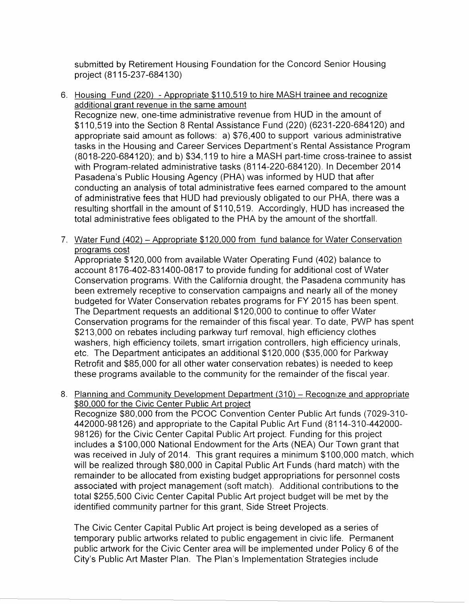submitted by Retirement Housing Foundation for the Concord Senior Housing project (8115-237 -684130)

- 6. Housing Fund (220) -Appropriate \$110,519 to hire MASH trainee and recognize additional grant revenue in the same amount Recognize new, one-time administrative revenue from HUD in the amount of \$110,519 into the Section 8 Rental Assistance Fund (220) (6231-220-684120) and appropriate said amount as follows: a) \$76,400 to support various administrative tasks in the Housing and Career Services Department's Rental Assistance Program (8018-220-684120); and b) \$34,119 to hire a MASH part-time cross-trainee to assist with Program-related administrative tasks (8114-220-684120). In December 2014 Pasadena's Public Housing Agency (PHA) was informed by HUD that after conducting an analysis of total administrative fees earned compared to the amount of administrative fees that HUD had previously obligated to our PHA, there was a resulting shortfall in the amount of \$110,519. Accordingly, HUD has increased the total administrative fees obligated to the PHA by the amount of the shortfall.
- 7. Water Fund (402) Appropriate \$120,000 from fund balance for Water Conservation programs cost

Appropriate \$120,000 from available Water Operating Fund (402) balance to account 8176-402-831400-0817 to provide funding for additional cost of Water Conservation programs. With the California drought, the Pasadena community has been extremely receptive to conservation campaigns and nearly all of the money budgeted for Water Conservation rebates programs for FY 2015 has been spent. The Department requests an additional \$120,000 to continue to offer Water Conservation programs for the remainder of this fiscal year. To date, PWP has spent \$213,000 on rebates including parkway turf removal, high efficiency clothes washers, high efficiency toilets, smart irrigation controllers, high efficiency urinals, etc. The Department anticipates an additional \$120,000 (\$35,000 for Parkway Retrofit and \$85,000 for all other water conservation rebates) is needed to keep these programs available to the community for the remainder of the fiscal year.

8. Planning and Community Development Department (310) – Recognize and appropriate \$80,000 for the Civic Center Public Art project

Recognize \$80,000 from the PCOC Convention Center Public Art funds (7029-310-442000-98126) and appropriate to the Capital Public Art Fund (8114-310-442000-98126) for the Civic Center Capital Public Art project. Funding for this project includes a \$100,000 National Endowment for the Arts (NEA) Our Town grant that was received in July of 2014. This grant requires a minimum \$100,000 match, which will be realized through \$80,000 in Capital Public Art Funds (hard match) with the remainder to be allocated from existing budget appropriations for personnel costs associated with project management (soft match). Additional contributions to the total \$255,500 Civic Center Capital Public Art project budget will be met by the identified community partner for this grant, Side Street Projects.

The Civic Center Capital Public Art project is being developed as a series of temporary public artworks related to public engagement in civic life. Permanent public artwork for the Civic Center area will be implemented under Policy 6 of the City's Public Art Master Plan. The Plan's Implementation Strategies include